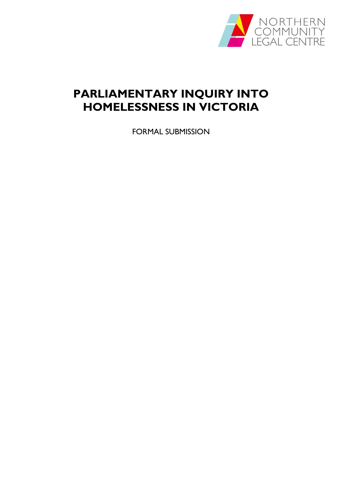

# **PARLIAMENTARY INQUIRY INTO HOMELESSNESS IN VICTORIA**

FORMAL SUBMISSION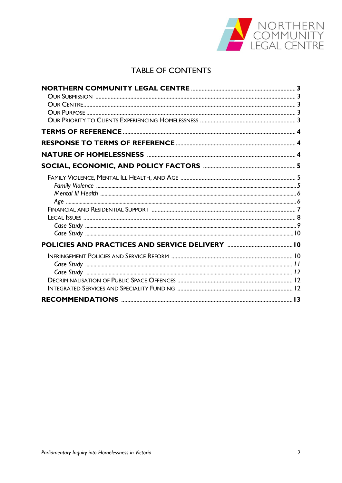

## **TABLE OF CONTENTS**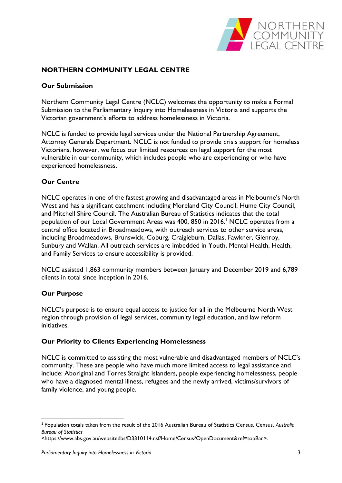

## **NORTHERN COMMUNITY LEGAL CENTRE**

#### **Our Submission**

Northern Community Legal Centre (NCLC) welcomes the opportunity to make a Formal Submission to the Parliamentary Inquiry into Homelessness in Victoria and supports the Victorian government's efforts to address homelessness in Victoria.

NCLC is funded to provide legal services under the National Partnership Agreement, Attorney Generals Department. NCLC is not funded to provide crisis support for homeless Victorians, however, we focus our limited resources on legal support for the most vulnerable in our community, which includes people who are experiencing or who have experienced homelessness.

#### **Our Centre**

NCLC operates in one of the fastest growing and disadvantaged areas in Melbourne's North West and has a significant catchment including Moreland City Council, Hume City Council, and Mitchell Shire Council. The Australian Bureau of Statistics indicates that the total population of our Local Government Areas was 400, 850 in 2016. <sup>1</sup> NCLC operates from a central office located in Broadmeadows, with outreach services to other service areas, including Broadmeadows, Brunswick, Coburg, Craigieburn, Dallas, Fawkner, Glenroy, Sunbury and Wallan. All outreach services are imbedded in Youth, Mental Health, Health, and Family Services to ensure accessibility is provided.

NCLC assisted 1,863 community members between January and December 2019 and 6,789 clients in total since inception in 2016.

#### **Our Purpose**

**.** 

NCLC's purpose is to ensure equal access to justice for all in the Melbourne North West region through provision of legal services, community legal education, and law reform initiatives.

#### **Our Priority to Clients Experiencing Homelessness**

NCLC is committed to assisting the most vulnerable and disadvantaged members of NCLC's community. These are people who have much more limited access to legal assistance and include: Aboriginal and Torres Straight Islanders, people experiencing homelessness, people who have a diagnosed mental illness, refugees and the newly arrived, victims/survivors of family violence, and young people.

<sup>1</sup> Population totals taken from the result of the 2016 Australian Bureau of Statistics Census. Census, *Australia Bureau of Statistics*

[<sup>&</sup>lt;https://www.abs.gov.au/websitedbs/D3310114.nsf/Home/Census?OpenDocument&ref=topBar>](https://www.abs.gov.au/websitedbs/D3310114.nsf/Home/Census?OpenDocument&ref=topBar).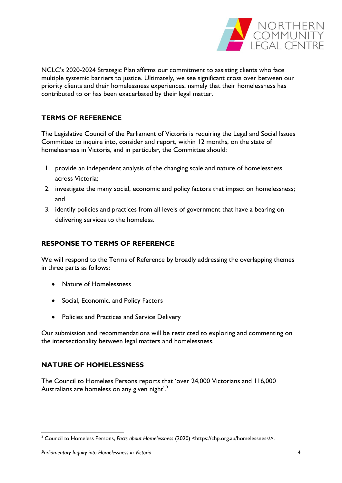

NCLC's 2020-2024 Strategic Plan affirms our commitment to assisting clients who face multiple systemic barriers to justice. Ultimately, we see significant cross over between our priority clients and their homelessness experiences, namely that their homelessness has contributed to or has been exacerbated by their legal matter.

## **TERMS OF REFERENCE**

The Legislative Council of the Parliament of Victoria is requiring the Legal and Social Issues Committee to inquire into, consider and report, within 12 months, on the state of homelessness in Victoria, and in particular, the Committee should:

- 1. provide an independent analysis of the changing scale and nature of homelessness across Victoria;
- 2. investigate the many social, economic and policy factors that impact on homelessness; and
- 3. identify policies and practices from all levels of government that have a bearing on delivering services to the homeless.

## **RESPONSE TO TERMS OF REFERENCE**

We will respond to the Terms of Reference by broadly addressing the overlapping themes in three parts as follows:

- Nature of Homelessness
- Social, Economic, and Policy Factors
- Policies and Practices and Service Delivery

Our submission and recommendations will be restricted to exploring and commenting on the intersectionality between legal matters and homelessness.

## **NATURE OF HOMELESSNESS**

The Council to Homeless Persons reports that 'over 24,000 Victorians and 116,000 Australians are homeless on any given night'.<sup>3</sup>

<sup>1</sup> <sup>3</sup> Council to Homeless Persons, *Facts about Homelessness* (2020) <https://chp.org.au/homelessness/>.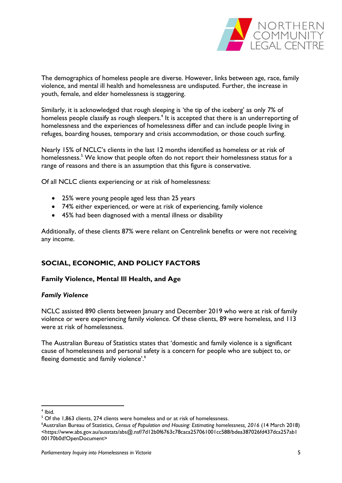

The demographics of homeless people are diverse. However, links between age, race, family violence, and mental ill health and homelessness are undisputed. Further, the increase in youth, female, and elder homelessness is staggering.

Similarly, it is acknowledged that rough sleeping is 'the tip of the iceberg' as only 7% of homeless people classify as rough sleepers.<sup>4</sup> It is accepted that there is an underreporting of homelessness and the experiences of homelessness differ and can include people living in refuges, boarding houses, temporary and crisis accommodation, or those couch surfing.

Nearly 15% of NCLC's clients in the last 12 months identified as homeless or at risk of homelessness.<sup>5</sup> We know that people often do not report their homelessness status for a range of reasons and there is an assumption that this figure is conservative.

Of all NCLC clients experiencing or at risk of homelessness:

- 25% were young people aged less than 25 years
- 74% either experienced, or were at risk of experiencing, family violence
- 45% had been diagnosed with a mental illness or disability

Additionally, of these clients 87% were reliant on Centrelink benefits or were not receiving any income.

## **SOCIAL, ECONOMIC, AND POLICY FACTORS**

#### **Family Violence, Mental Ill Health, and Age**

#### *Family Violence*

NCLC assisted 890 clients between January and December 2019 who were at risk of family violence or were experiencing family violence. Of these clients, 89 were homeless, and 113 were at risk of homelessness.

The Australian Bureau of Statistics states that 'domestic and family violence is a significant cause of homelessness and personal safety is a concern for people who are subject to, or fleeing domestic and family violence'.<sup>6</sup>

**<sup>.</sup>** 4 Ibid.

<sup>&</sup>lt;sup>5</sup> Of the 1,863 clients, 274 clients were homeless and or at risk of homelessness.

<sup>6</sup>Australian Bureau of Statistics, *Census of Population and Housing: Estimating homelessness, 2016* (14 March 2018) <https://www.abs.gov.au/ausstats/abs@.nsf/7d12b0f6763c78caca257061001cc588/bdea387026fd437dca257ab1 00170b0d!OpenDocument>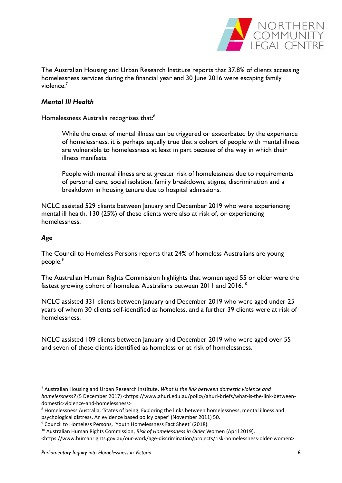

The Australian Housing and Urban Research Institute reports that 37.8% of clients accessing homelessness services during the financial year end 30 June 2016 were escaping family violence.<sup>7</sup>

#### *Mental Ill Health*

Homelessness Australia recognises that:<sup>8</sup>

While the onset of mental illness can be triggered or exacerbated by the experience of homelessness, it is perhaps equally true that a cohort of people with mental illness are vulnerable to homelessness at least in part because of the way in which their illness manifests.

People with mental illness are at greater risk of homelessness due to requirements of personal care, social isolation, family breakdown, stigma, discrimination and a breakdown in housing tenure due to hospital admissions.

NCLC assisted 529 clients between January and December 2019 who were experiencing mental ill health. 130 (25%) of these clients were also at risk of, or experiencing homelessness.

#### *Age*

**.** 

The Council to Homeless Persons reports that 24% of homeless Australians are young people.<sup>9</sup>

The Australian Human Rights Commission highlights that women aged 55 or older were the fastest growing cohort of homeless Australians between 2011 and 2016.<sup>10</sup>

NCLC assisted 331 clients between January and December 2019 who were aged under 25 years of whom 30 clients self-identified as homeless, and a further 39 clients were at risk of homelessness.

NCLC assisted 109 clients between January and December 2019 who were aged over 55 and seven of these clients identified as homeless or at risk of homelessness.

<sup>7</sup> Australian Housing and Urban Research Institute, *What is the link between domestic violence and homelessness?* (5 December 2017) <https://www.ahuri.edu.au/policy/ahuri-briefs/what-is-the-link-betweendomestic-violence-and-homelessness>

<sup>8</sup> Homelessness Australia, 'States of being: Exploring the links between homelessness, mental illness and psychological distress. An evidence based policy paper' (November 2011) 50.

<sup>9</sup> Council to Homeless Persons, 'Youth Homelessness Fact Sheet' (2018).

<sup>10</sup> Australian Human Rights Commission, *Risk of Homelessness in Older* Women (April 2019).

<sup>&</sup>lt;https://www.humanrights.gov.au/our-work/age-discrimination/projects/risk-homelessness-older-women>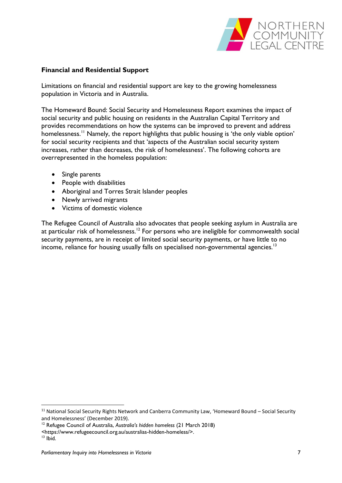

#### **Financial and Residential Support**

Limitations on financial and residential support are key to the growing homelessness population in Victoria and in Australia.

The Homeward Bound: Social Security and Homelessness Report examines the impact of social security and public housing on residents in the Australian Capital Territory and provides recommendations on how the systems can be improved to prevent and address homelessness.<sup>11</sup> Namely, the report highlights that public housing is 'the only viable option' for social security recipients and that 'aspects of the Australian social security system increases, rather than decreases, the risk of homelessness'. The following cohorts are overrepresented in the homeless population:

- Single parents
- People with disabilities
- Aboriginal and Torres Strait Islander peoples
- Newly arrived migrants
- Victims of domestic violence

The Refugee Council of Australia also advocates that people seeking asylum in Australia are at particular risk of homelessness.<sup>12</sup> For persons who are ineligible for commonwealth social security payments, are in receipt of limited social security payments, or have little to no income, reliance for housing usually falls on specialised non-governmental agencies.<sup>13</sup>

1

<sup>&</sup>lt;sup>11</sup> National Social Security Rights Network and Canberra Community Law, 'Homeward Bound – Social Security and Homelessness' (December 2019).

<sup>12</sup> Refugee Council of Australia, *Australia's hidden homeless* (21 March 2018)

*<sup>&</sup>lt;*https://www.refugeecouncil.org.au/australias-hidden-homeless/>.

 $13$  lbid.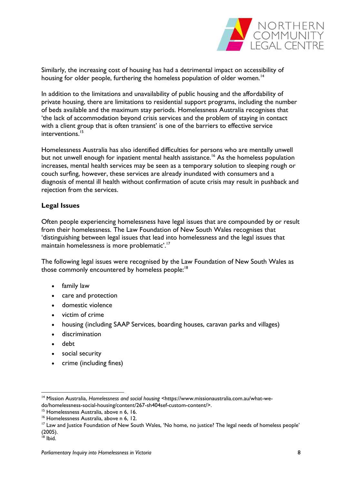

Similarly, the increasing cost of housing has had a detrimental impact on accessibility of housing for older people, furthering the homeless population of older women.<sup>14</sup>

In addition to the limitations and unavailability of public housing and the affordability of private housing, there are limitations to residential support programs, including the number of beds available and the maximum stay periods. Homelessness Australia recognises that 'the lack of accommodation beyond crisis services and the problem of staying in contact with a client group that is often transient' is one of the barriers to effective service interventions.<sup>15</sup>

Homelessness Australia has also identified difficulties for persons who are mentally unwell but not unwell enough for inpatient mental health assistance.<sup>16</sup> As the homeless population increases, mental health services may be seen as a temporary solution to sleeping rough or couch surfing, however, these services are already inundated with consumers and a diagnosis of mental ill health without confirmation of acute crisis may result in pushback and rejection from the services.

#### **Legal Issues**

Often people experiencing homelessness have legal issues that are compounded by or result from their homelessness. The Law Foundation of New South Wales recognises that 'distinguishing between legal issues that lead into homelessness and the legal issues that maintain homelessness is more problematic'.<sup>17</sup>

The following legal issues were recognised by the Law Foundation of New South Wales as those commonly encountered by homeless people:<sup>18</sup>

- family law
- care and protection
- domestic violence
- victim of crime
- housing (including SAAP Services, boarding houses, caravan parks and villages)
- discrimination
- debt
- social security
- crime (including fines)

**.** 

<sup>14</sup> Mission Australia, *Homelessness and social housing* <https://www.missionaustralia.com.au/what-wedo/homelessness-social-housing/content/267-sh404sef-custom-content/>.

<sup>&</sup>lt;sup>15</sup> Homelessness Australia, above n 6, 16.

<sup>&</sup>lt;sup>16</sup> Homelessness Australia, above n 6, 12.

<sup>&</sup>lt;sup>17</sup> Law and Justice Foundation of New South Wales, 'No home, no justice? The legal needs of homeless people' (2005).

 $18$  Ibid.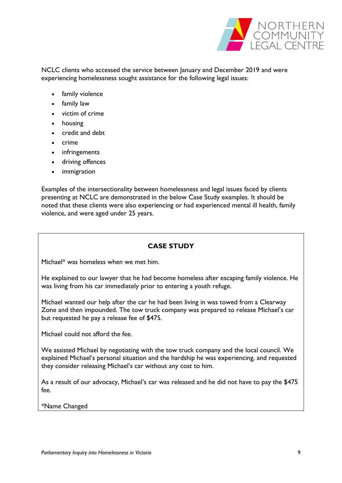

NCLC clients who accessed the service between January and December 2019 and were experiencing homelessness sought assistance for the following legal issues:

- family violence
- family law
- victim of crime
- housing
- credit and debt
- crime
- infringements
- driving offences
- immigration

Examples of the intersectionality between homelessness and legal issues faced by clients presenting at NCLC are demonstrated in the below Case Study examples. It should be noted that these clients were also experiencing or had experienced mental ill health, family violence, and were aged under 25 years.

#### **CASE STUDY**

Michael\* was homeless when we met him.

He explained to our lawyer that he had become homeless after escaping family violence. He was living from his car immediately prior to entering a youth refuge.

Michael wanted our help after the car he had been living in was towed from a Clearway Zone and then impounded. The tow truck company was prepared to release Michael's car but requested he pay a release fee of \$475.

Michael could not afford the fee.

We assisted Michael by negotiating with the tow truck company and the local council. We explained Michael's personal situation and the hardship he was experiencing, and requested they consider releasing Michael's car without any cost to him.

As a result of our advocacy, Michael's car was released and he did not have to pay the \$475 fee.

\*Name Changed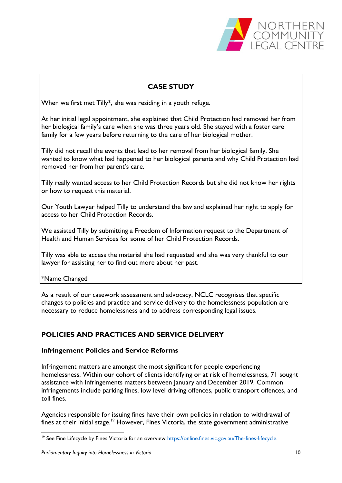

## **CASE STUDY**

When we first met Tilly\*, she was residing in a youth refuge.

At her initial legal appointment, she explained that Child Protection had removed her from her biological family's care when she was three years old. She stayed with a foster care family for a few years before returning to the care of her biological mother.

Tilly did not recall the events that lead to her removal from her biological family. She wanted to know what had happened to her biological parents and why Child Protection had removed her from her parent's care.

Tilly really wanted access to her Child Protection Records but she did not know her rights or how to request this material.

Our Youth Lawyer helped Tilly to understand the law and explained her right to apply for access to her Child Protection Records.

We assisted Tilly by submitting a Freedom of Information request to the Department of Health and Human Services for some of her Child Protection Records.

Tilly was able to access the material she had requested and she was very thankful to our lawyer for assisting her to find out more about her past.

\*Name Changed

1

As a result of our casework assessment and advocacy, NCLC recognises that specific changes to policies and practice and service delivery to the homelessness population are necessary to reduce homelessness and to address corresponding legal issues.

## **POLICIES AND PRACTICES AND SERVICE DELIVERY**

#### **Infringement Policies and Service Reforms**

Infringement matters are amongst the most significant for people experiencing homelessness. Within our cohort of clients identifying or at risk of homelessness, 71 sought assistance with Infringements matters between January and December 2019. Common infringements include parking fines, low level driving offences, public transport offences, and toll fines.

Agencies responsible for issuing fines have their own policies in relation to withdrawal of fines at their initial stage.<sup>19</sup> However, Fines Victoria, the state government administrative

<sup>&</sup>lt;sup>19</sup> See Fine Lifecycle by Fines Victoria for an overview [https://online.fines.vic.gov.au/The-fines-lifecycle.](https://online.fines.vic.gov.au/The-fines-lifecycle)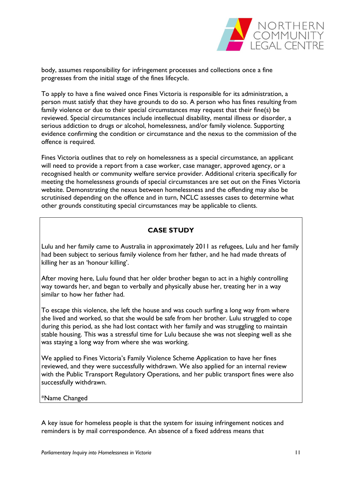

body, assumes responsibility for infringement processes and collections once a fine progresses from the initial stage of the fines lifecycle.

To apply to have a fine waived once Fines Victoria is responsible for its administration, a person must satisfy that they have grounds to do so. A person who has fines resulting from family violence or due to their special circumstances may request that their fine(s) be reviewed. Special circumstances include intellectual disability, mental illness or disorder, a serious addiction to drugs or alcohol, homelessness, and/or family violence. Supporting evidence confirming the condition or circumstance and the nexus to the commission of the offence is required.

Fines Victoria outlines that to rely on homelessness as a special circumstance, an applicant will need to provide a report from a case worker, case manager, approved agency, or a recognised health or community welfare service provider. Additional criteria specifically for meeting the homelessness grounds of special circumstances are set out on the Fines Victoria website. Demonstrating the nexus between homelessness and the offending may also be scrutinised depending on the offence and in turn, NCLC assesses cases to determine what other grounds constituting special circumstances may be applicable to clients.

## **CASE STUDY**

Lulu and her family came to Australia in approximately 2011 as refugees, Lulu and her family had been subject to serious family violence from her father, and he had made threats of killing her as an 'honour killing'.

After moving here, Lulu found that her older brother began to act in a highly controlling way towards her, and began to verbally and physically abuse her, treating her in a way similar to how her father had.

To escape this violence, she left the house and was couch surfing a long way from where she lived and worked, so that she would be safe from her brother. Lulu struggled to cope during this period, as she had lost contact with her family and was struggling to maintain stable housing. This was a stressful time for Lulu because she was not sleeping well as she was staying a long way from where she was working.

We applied to Fines Victoria's Family Violence Scheme Application to have her fines reviewed, and they were successfully withdrawn. We also applied for an internal review with the Public Transport Regulatory Operations, and her public transport fines were also successfully withdrawn.

#### \*Name Changed

A key issue for homeless people is that the system for issuing infringement notices and reminders is by mail correspondence. An absence of a fixed address means that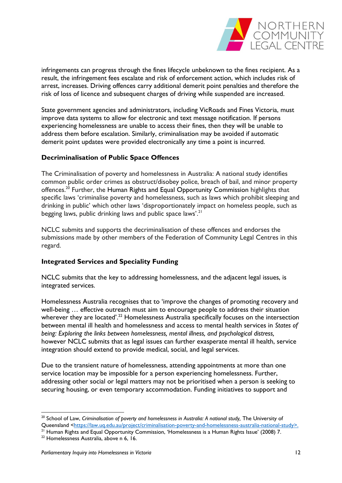

infringements can progress through the fines lifecycle unbeknown to the fines recipient. As a result, the infringement fees escalate and risk of enforcement action, which includes risk of arrest, increases. Driving offences carry additional demerit point penalties and therefore the risk of loss of licence and subsequent charges of driving while suspended are increased.

State government agencies and administrators, including VicRoads and Fines Victoria, must improve data systems to allow for electronic and text message notification. If persons experiencing homelessness are unable to access their fines, then they will be unable to address them before escalation. Similarly, criminalisation may be avoided if automatic demerit point updates were provided electronically any time a point is incurred.

#### **Decriminalisation of Public Space Offences**

The Criminalisation of poverty and homelessness in Australia: A national study identifies common public order crimes as obstruct/disobey police, breach of bail, and minor property offences.<sup>20</sup> Further, the Human Rights and Equal Opportunity Commission highlights that specific laws 'criminalise poverty and homelessness, such as laws which prohibit sleeping and drinking in public' which other laws 'disproportionately impact on homeless people, such as begging laws, public drinking laws and public space laws'.<sup>21</sup>

NCLC submits and supports the decriminalisation of these offences and endorses the submissions made by other members of the Federation of Community Legal Centres in this regard.

#### **Integrated Services and Speciality Funding**

NCLC submits that the key to addressing homelessness, and the adjacent legal issues, is integrated services.

Homelessness Australia recognises that to 'improve the changes of promoting recovery and well-being … effective outreach must aim to encourage people to address their situation wherever they are located'.<sup>22</sup> Homelessness Australia specifically focuses on the intersection between mental ill health and homelessness and access to mental health services in *States of being: Exploring the links between homelessness, mental illness, and psychological distress,*  however NCLC submits that as legal issues can further exasperate mental ill health, service integration should extend to provide medical, social, and legal services.

Due to the transient nature of homelessness, attending appointments at more than one service location may be impossible for a person experiencing homelessness. Further, addressing other social or legal matters may not be prioritised when a person is seeking to securing housing, or even temporary accommodation. Funding initiatives to support and

1

<sup>&</sup>lt;sup>20</sup> School of Law, *Criminalisation of poverty and homelessness in Australia: A national study*, The University of Queensland [<https://law.uq.edu.au/project/criminalisation-poverty-and-homelessness-australia-national-study>](https://law.uq.edu.au/project/criminalisation-poverty-and-homelessness-australia-national-study).

<sup>&</sup>lt;sup>21</sup> Human Rights and Equal Opportunity Commission, 'Homelessness is a Human Rights Issue' (2008) 7.

<sup>22</sup> Homelessness Australia, above n 6, 16.